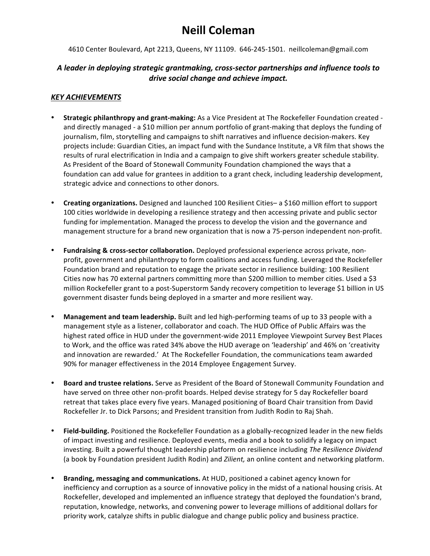# **Neill Coleman**

4610 Center Boulevard, Apt 2213, Queens, NY 11109. 646-245-1501. neillcoleman@gmail.com

#### A leader in deploying strategic grantmaking, cross-sector partnerships and influence tools to *drive social change and achieve impact.*

#### *KEY ACHIEVEMENTS*

- **Strategic philanthropy and grant-making:** As a Vice President at The Rockefeller Foundation created and directly managed - a \$10 million per annum portfolio of grant-making that deploys the funding of journalism, film, storytelling and campaigns to shift narratives and influence decision-makers. Key projects include: Guardian Cities, an impact fund with the Sundance Institute, a VR film that shows the results of rural electrification in India and a campaign to give shift workers greater schedule stability. As President of the Board of Stonewall Community Foundation championed the ways that a foundation can add value for grantees in addition to a grant check, including leadership development, strategic advice and connections to other donors.
- **Creating organizations.** Designed and launched 100 Resilient Cities– a \$160 million effort to support 100 cities worldwide in developing a resilience strategy and then accessing private and public sector funding for implementation. Managed the process to develop the vision and the governance and management structure for a brand new organization that is now a 75-person independent non-profit.
- Fundraising & cross-sector collaboration. Deployed professional experience across private, nonprofit, government and philanthropy to form coalitions and access funding. Leveraged the Rockefeller Foundation brand and reputation to engage the private sector in resilience building: 100 Resilient Cities now has 70 external partners committing more than \$200 million to member cities. Used a \$3 million Rockefeller grant to a post-Superstorm Sandy recovery competition to leverage \$1 billion in US government disaster funds being deployed in a smarter and more resilient way.
- **Management and team leadership.** Built and led high-performing teams of up to 33 people with a management style as a listener, collaborator and coach. The HUD Office of Public Affairs was the highest rated office in HUD under the government-wide 2011 Employee Viewpoint Survey Best Places to Work, and the office was rated 34% above the HUD average on 'leadership' and 46% on 'creativity and innovation are rewarded.' At The Rockefeller Foundation, the communications team awarded 90% for manager effectiveness in the 2014 Employee Engagement Survey.
- **Board and trustee relations.** Serve as President of the Board of Stonewall Community Foundation and have served on three other non-profit boards. Helped devise strategy for 5 day Rockefeller board retreat that takes place every five years. Managed positioning of Board Chair transition from David Rockefeller Jr. to Dick Parsons; and President transition from Judith Rodin to Raj Shah.
- Field-building. Positioned the Rockefeller Foundation as a globally-recognized leader in the new fields of impact investing and resilience. Deployed events, media and a book to solidify a legacy on impact investing. Built a powerful thought leadership platform on resilience including The Resilience Dividend (a book by Foundation president Judith Rodin) and *Zilient*, an online content and networking platform.
- **Branding, messaging and communications.** At HUD, positioned a cabinet agency known for inefficiency and corruption as a source of innovative policy in the midst of a national housing crisis. At Rockefeller, developed and implemented an influence strategy that deployed the foundation's brand, reputation, knowledge, networks, and convening power to leverage millions of additional dollars for priority work, catalyze shifts in public dialogue and change public policy and business practice.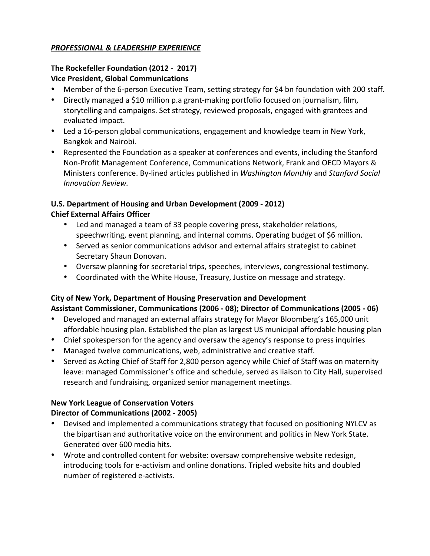### *PROFESSIONAL & LEADERSHIP EXPERIENCE*

#### **The Rockefeller Foundation (2012 - 2017) Vice President, Global Communications**

- Member of the 6-person Executive Team, setting strategy for \$4 bn foundation with 200 staff.
- Directly managed a \$10 million p.a grant-making portfolio focused on journalism, film, storytelling and campaigns. Set strategy, reviewed proposals, engaged with grantees and evaluated impact.
- Led a 16-person global communications, engagement and knowledge team in New York, Bangkok and Nairobi.
- Represented the Foundation as a speaker at conferences and events, including the Stanford Non-Profit Management Conference, Communications Network, Frank and OECD Mayors & Ministers conference. By-lined articles published in *Washington Monthly* and *Stanford Social Innovation Review.*

## **U.S. Department of Housing and Urban Development (2009 - 2012) Chief External Affairs Officer**

- Led and managed a team of 33 people covering press, stakeholder relations, speechwriting, event planning, and internal comms. Operating budget of \$6 million.
- Served as senior communications advisor and external affairs strategist to cabinet Secretary Shaun Donovan.
- Oversaw planning for secretarial trips, speeches, interviews, congressional testimony.
- Coordinated with the White House, Treasury, Justice on message and strategy.

# **City of New York, Department of Housing Preservation and Development** Assistant Commissioner, Communications (2006 - 08); Director of Communications (2005 - 06)

- Developed and managed an external affairs strategy for Mayor Bloomberg's 165,000 unit affordable housing plan. Established the plan as largest US municipal affordable housing plan
- Chief spokesperson for the agency and oversaw the agency's response to press inquiries
- Managed twelve communications, web, administrative and creative staff.
- Served as Acting Chief of Staff for 2,800 person agency while Chief of Staff was on maternity leave: managed Commissioner's office and schedule, served as liaison to City Hall, supervised research and fundraising, organized senior management meetings.

# **New York League of Conservation Voters**

## **Director of Communications (2002 - 2005)**

- Devised and implemented a communications strategy that focused on positioning NYLCV as the bipartisan and authoritative voice on the environment and politics in New York State. Generated over 600 media hits.
- Wrote and controlled content for website: oversaw comprehensive website redesign, introducing tools for e-activism and online donations. Tripled website hits and doubled number of registered e-activists.